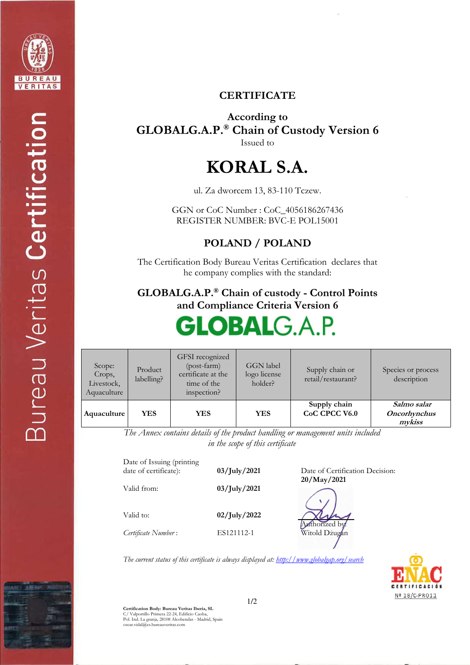

#### **CERTIFICATE**

**According to GLOBALG.A.P.® Chain of Custody Version 6** Issued to

## **KORAL S.A.**

ul. Za dworcem 13, 83-110 Tczew.

GGN or CoC Number : CoC\_4056186267436 REGISTER NUMBER: BVC-E POL15001

**POLAND / POLAND** 

The Certification Body Bureau Veritas Certification declares that he company complies with the standard:

**GLOBALG.A.P.® Chain of custody - Control Points and Compliance Criteria Version 6** 

# **GLOBAL**G.A.P.

| Scope:<br>Crops,<br>Livestock,<br>Aquaculture | Product<br>labelling? | GFSI recognized<br>$(post-farm)$<br>certificate at the<br>time of the<br>inspection? | <b>GGN</b> label<br>logo license<br>holder? | Supply chain or<br>retail/restaurant? | Species or process<br>description            |
|-----------------------------------------------|-----------------------|--------------------------------------------------------------------------------------|---------------------------------------------|---------------------------------------|----------------------------------------------|
| Aquaculture                                   | YES.                  | <b>YES</b>                                                                           | <b>YES</b>                                  | Supply chain<br>CoC CPCC V6.0         | Salmo salar<br><b>Oncorhynchus</b><br>mykiss |

**20/May/2021**

Authorized by: Witold Dżugan

*The Annex contains details of the product handling or management units included in the scope of this certificate* 

Date of Issuing (printing<br>date of certificate): 03/July/2021 **Date of Certification Decision:** Valid from: **03/July/2021**  Valid to: **02/July/2022**  *Certificate Number* : ES121112-1

*The current status of this certificate is always displayed at: http://www.globalgap.org/search*



**Certification Body: Bureau Veritas Iberia, SL**  C/ Valportillo Primera 22-24, Edificio Caoba, Pol. Ind. La granja, 28108 Alcobendas - Madrid, Spain oscar.vidal@es.bureauveritas.com

1/2